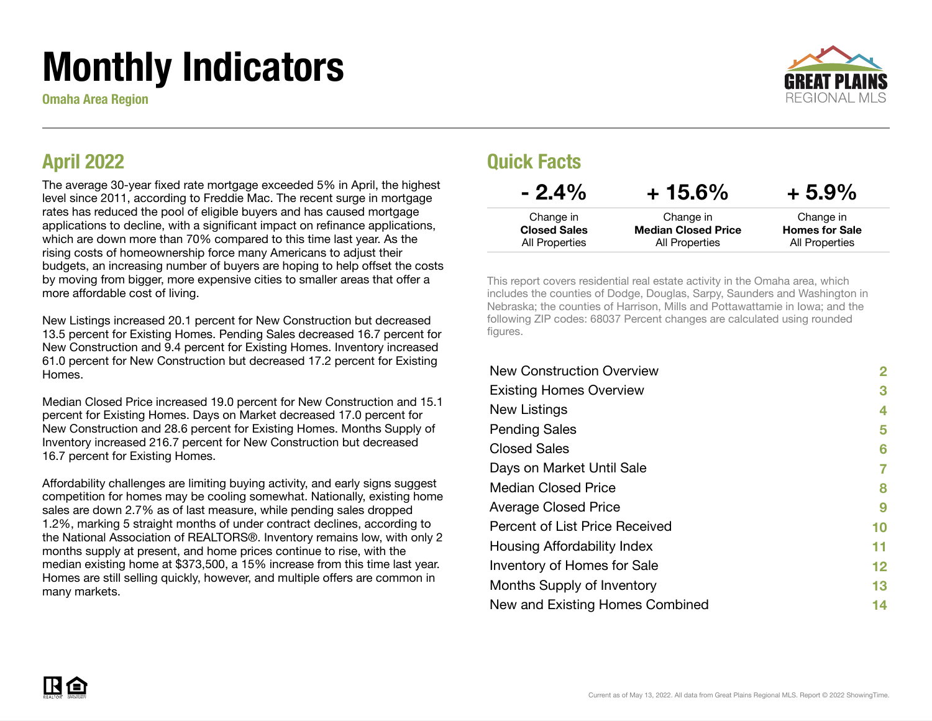# Monthly Indicators

Omaha Area Region



#### April 2022

The average 30-year fixed rate mortgage exceeded 5% in April, the highest level since 2011, according to Freddie Mac. The recent surge in mortgage rates has reduced the pool of eligible buyers and has caused mortgage applications to decline, with a significant impact on refinance applications, which are down more than 70% compared to this time last year. As the rising costs of homeownership force many Americans to adjust their budgets, an increasing number of buyers are hoping to help offset the costs by moving from bigger, more expensive cities to smaller areas that offer a more affordable cost of living.

New Listings increased 20.1 percent for New Construction but decreased 13.5 percent for Existing Homes. Pending Sales decreased 16.7 percent for New Construction and 9.4 percent for Existing Homes. Inventory increased 61.0 percent for New Construction but decreased 17.2 percent for Existing Homes.

Median Closed Price increased 19.0 percent for New Construction and 15.1 percent for Existing Homes. Days on Market decreased 17.0 percent for New Construction and 28.6 percent for Existing Homes. Months Supply of Inventory increased 216.7 percent for New Construction but decreased 16.7 percent for Existing Homes.

Affordability challenges are limiting buying activity, and early signs suggest competition for homes may be cooling somewhat. Nationally, existing home sales are down 2.7% as of last measure, while pending sales dropped 1.2%, marking 5 straight months of under contract declines, according to the National Association of REALTORS®. Inventory remains low, with only 2 months supply at present, and home prices continue to rise, with the median existing home at \$373,500, a 15% increase from this time last year. Homes are still selling quickly, however, and multiple offers are common in many markets.

#### Quick Facts

| $-2.4\%$            | $+15.6\%$                  | $+5.9\%$              |
|---------------------|----------------------------|-----------------------|
| Change in           | Change in                  | Change in             |
| <b>Closed Sales</b> | <b>Median Closed Price</b> | <b>Homes for Sale</b> |
| All Properties      | <b>All Properties</b>      | All Properties        |

This report covers residential real estate activity in the Omaha area, which includes the counties of Dodge, Douglas, Sarpy, Saunders and Washington in Nebraska; the counties of Harrison, Mills and Pottawattamie in Iowa; and the following ZIP codes: 68037 Percent changes are calculated using rounded figures.

| <b>New Construction Overview</b> | 2  |
|----------------------------------|----|
| <b>Existing Homes Overview</b>   | 3  |
| New Listings                     | 4  |
| <b>Pending Sales</b>             | 5  |
| <b>Closed Sales</b>              | 6  |
| Days on Market Until Sale        | 7  |
| <b>Median Closed Price</b>       | 8  |
| <b>Average Closed Price</b>      | 9  |
| Percent of List Price Received   | 10 |
| Housing Affordability Index      | 11 |
| Inventory of Homes for Sale      | 12 |
| Months Supply of Inventory       | 13 |
| New and Existing Homes Combined  | 14 |

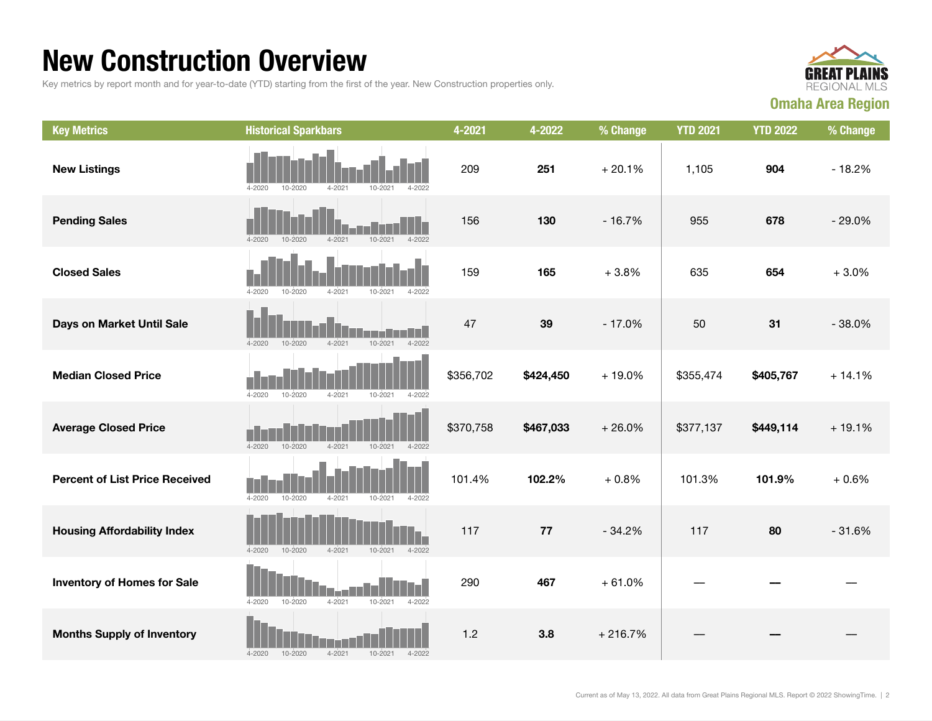### New Construction Overview

Key metrics by report month and for year-to-date (YTD) starting from the first of the year. New Construction properties only.



| <b>Key Metrics</b>                    | <b>Historical Sparkbars</b>                                          | 4-2021    | 4-2022    | % Change  | <b>YTD 2021</b> | <b>YTD 2022</b> | % Change |
|---------------------------------------|----------------------------------------------------------------------|-----------|-----------|-----------|-----------------|-----------------|----------|
| <b>New Listings</b>                   | 4-2020<br>10-2020<br>4-2021<br>$10 - 202$<br>4-2022                  | 209       | 251       | $+20.1%$  | 1,105           | 904             | $-18.2%$ |
| <b>Pending Sales</b>                  | $4 - 2020$<br>$10 - 2020$<br>$4 - 2021$<br>$10 - 2021$<br>$4 - 2022$ | 156       | 130       | $-16.7%$  | 955             | 678             | $-29.0%$ |
| <b>Closed Sales</b>                   | $4 - 2020$<br>10-2020<br>4-2021<br>4-2022<br>10-2021                 | 159       | 165       | $+3.8%$   | 635             | 654             | $+3.0%$  |
| Days on Market Until Sale             | 10-2021<br>$4 - 2022$<br>$4 - 2020$<br>$10 - 2020$<br>$4 - 2021$     | 47        | 39        | $-17.0%$  | 50              | 31              | $-38.0%$ |
| <b>Median Closed Price</b>            | $4 - 2020$<br>4-2021<br>10-2021<br>$4 - 2022$<br>10-2020             | \$356,702 | \$424,450 | $+19.0%$  | \$355,474       | \$405,767       | $+14.1%$ |
| <b>Average Closed Price</b>           | $4 - 2020$<br>$10 - 2020$<br>$4 - 2021$<br>$10 - 2021$<br>$4 - 2022$ | \$370,758 | \$467,033 | $+26.0%$  | \$377,137       | \$449,114       | $+19.1%$ |
| <b>Percent of List Price Received</b> | $4 - 2020$<br>$10 - 2020$<br>$4 - 2021$<br>10-2021<br>$4 - 2022$     | 101.4%    | 102.2%    | $+0.8%$   | 101.3%          | 101.9%          | $+0.6%$  |
| <b>Housing Affordability Index</b>    | $4 - 2020$<br>$10 - 2020$<br>$4 - 2021$<br>$10 - 2021$<br>$4 - 2022$ | 117       | 77        | $-34.2%$  | 117             | 80              | $-31.6%$ |
| <b>Inventory of Homes for Sale</b>    | $4 - 2020$<br>10-2020<br>$4 - 2021$<br>10-2021<br>$4 - 2022$         | 290       | 467       | $+61.0%$  |                 |                 |          |
| <b>Months Supply of Inventory</b>     | $4 - 2021$<br>$4 - 2020$<br>10-2020<br>10-2021<br>$4 - 2022$         | 1.2       | 3.8       | $+216.7%$ |                 |                 |          |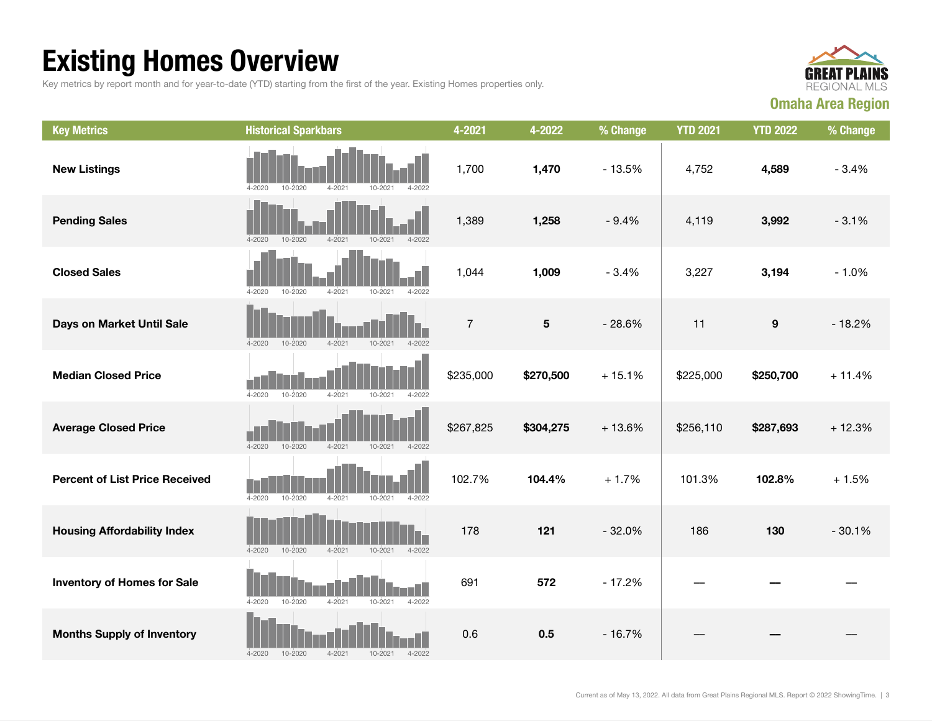## Existing Homes Overview

Key metrics by report month and for year-to-date (YTD) starting from the first of the year. Existing Homes properties only.



| <b>Key Metrics</b>                    | <b>Historical Sparkbars</b>                                          | 4-2021         | 4-2022                  | % Change | <b>YTD 2021</b> | <b>YTD 2022</b>  | % Change |
|---------------------------------------|----------------------------------------------------------------------|----------------|-------------------------|----------|-----------------|------------------|----------|
| <b>New Listings</b>                   | 10-2020<br>$4 - 2021$<br>$4 - 2020$<br>10-2021<br>$4 - 2022$         | 1,700          | 1,470                   | $-13.5%$ | 4,752           | 4,589            | $-3.4%$  |
| <b>Pending Sales</b>                  | $4 - 2020$<br>10-2020<br>$4 - 2021$<br>$4 - 2022$<br>10-2021         | 1,389          | 1,258                   | $-9.4%$  | 4,119           | 3,992            | $-3.1%$  |
| <b>Closed Sales</b>                   | $4 - 2020$<br>10-2020<br>$4 - 2021$<br>10-2021<br>4-2022             | 1,044          | 1,009                   | $-3.4%$  | 3,227           | 3,194            | $-1.0%$  |
| Days on Market Until Sale             | $10 - 2020$<br>$4 - 2021$<br>10-2021<br>$4 - 2022$<br>$4 - 2020$     | $\overline{7}$ | $\overline{\mathbf{5}}$ | $-28.6%$ | 11              | $\boldsymbol{9}$ | $-18.2%$ |
| <b>Median Closed Price</b>            | $4 - 2020$<br>10-2020<br>$4 - 2021$<br>10-2021<br>$4 - 2022$         | \$235,000      | \$270,500               | $+15.1%$ | \$225,000       | \$250,700        | $+11.4%$ |
| <b>Average Closed Price</b>           | $4 - 2020$<br>10-2020<br>$4 - 2021$<br>$10 - 2021$<br>$4 - 2022$     | \$267,825      | \$304,275               | $+13.6%$ | \$256,110       | \$287,693        | $+12.3%$ |
| <b>Percent of List Price Received</b> | $4 - 2020$<br>$10 - 2020$<br>$4 - 2021$<br>$10 - 2021$<br>$4 - 2022$ | 102.7%         | 104.4%                  | $+1.7%$  | 101.3%          | 102.8%           | $+1.5%$  |
| <b>Housing Affordability Index</b>    | $4 - 2020$<br>10-2020<br>$4 - 2021$<br>$10 - 2021$<br>$4 - 2022$     | 178            | 121                     | $-32.0%$ | 186             | 130              | $-30.1%$ |
| <b>Inventory of Homes for Sale</b>    | $4 - 2020$<br>10-2020<br>$4 - 2021$<br>10-2021<br>$4 - 2022$         | 691            | 572                     | $-17.2%$ |                 |                  |          |
| <b>Months Supply of Inventory</b>     | $4 - 2021$<br>$4 - 2020$<br>10-2020<br>10-2021<br>$4 - 2022$         | 0.6            | 0.5                     | $-16.7%$ |                 |                  |          |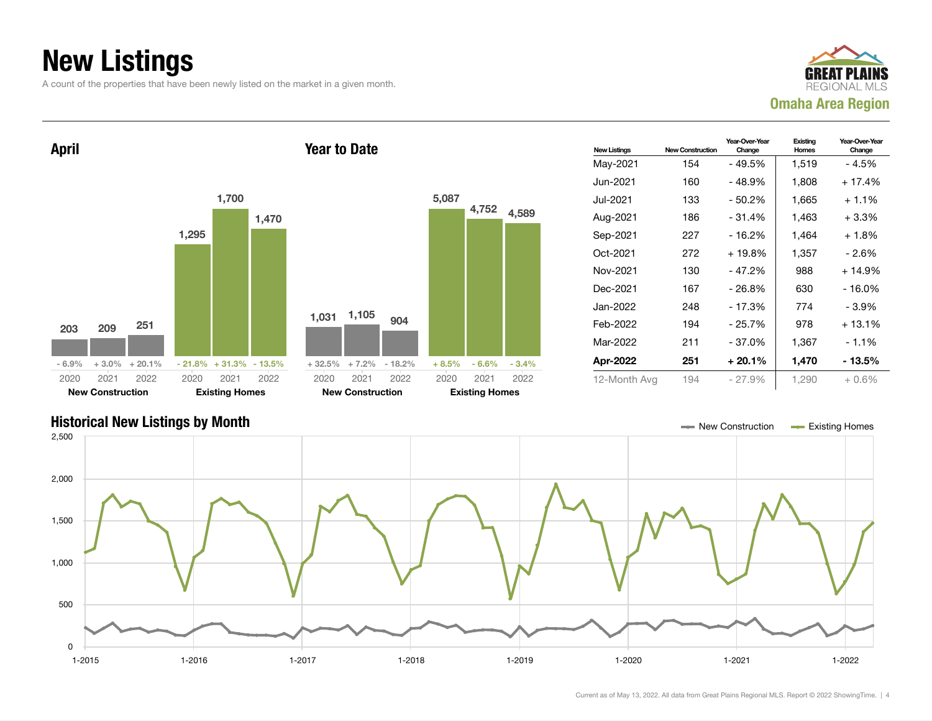## New Listings

A count of the properties that have been newly listed on the market in a given month.



New Listings New Construction Year-Over-Year Change Existing Homes Year-Over-Year Change May-2021 154 - 49.5% 1,519 - 4.5% Jun-2021 160 - 48.9% 1,808 + 17.4% Jul-2021 133 - 50.2% 1,665 + 1.1% Aug-2021 186 - 31.4% 1,463 + 3.3% Sep-2021 227 - 16.2% 1,464 + 1.8% Oct-2021 272 + 19.8% 1,357 - 2.6% Nov-2021 130 - 47.2% 988 + 14.9% Dec-2021 167 - 26.8% 630 - 16.0% Jan-2022 248 - 17.3% 774 - 3.9% Feb-2022 194 - 25.7% 978 + 13.1% Mar-2022 211 - 37.0% 1,367 - 1.1% Apr-2022 251 + 20.1% 1,470 - 13.5% 12-Month Avg 194 - 27.9% 1,290 + 0.6% April 203 209 251  $-6.9\%$   $+3.0\%$   $+20.1\%$ 1,295 1,700 1,470  $-21.8\% + 31.3\% - 13.5\%$ 2020 New Construction 2021 2022 2020 Existing Homes 2021 2022 Year to Date 1,031 1,105 <sup>904</sup> + 32.5% + 7.2% - 18.2% 5,087 4,752 4,589 + 8.5% - 6.6% - 3.4% 2020 New Construction 2021 2022 2020 Existing Homes 2021 2022

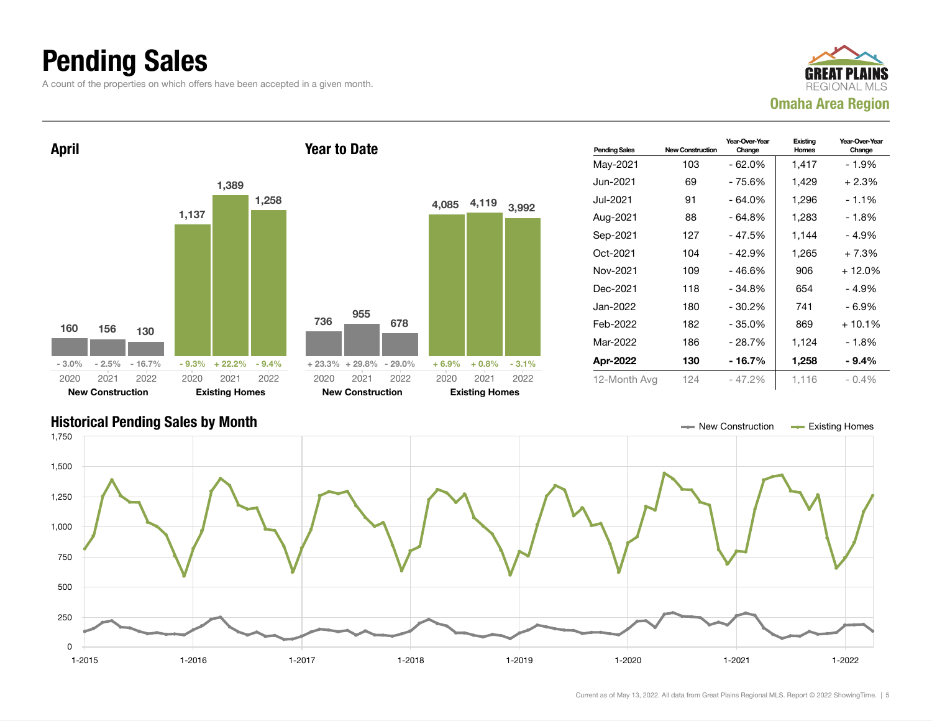## Pending Sales

A count of the properties on which offers have been accepted in a given month.







Current as of May 13, 2022. All data from Great Plains Regional MLS. Report © 2022 ShowingTime. | 5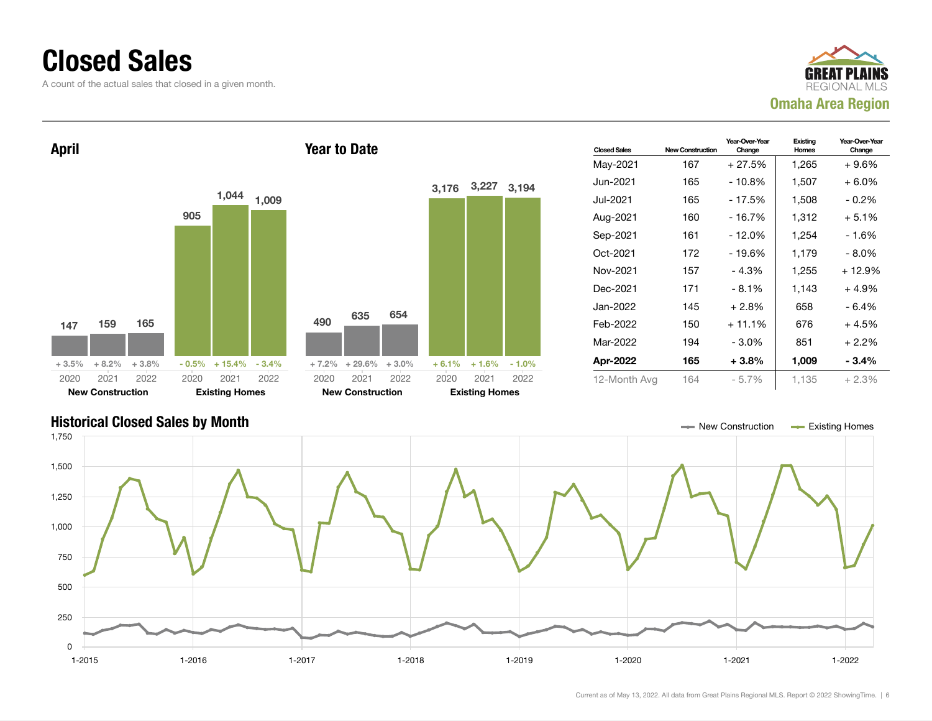### Closed Sales

A count of the actual sales that closed in a given month.





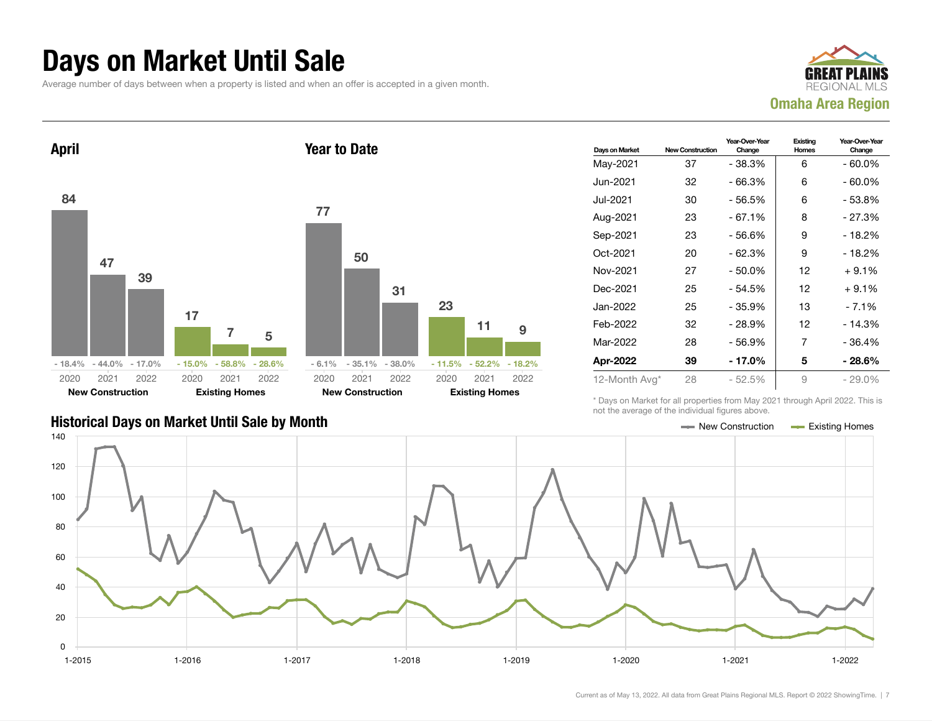#### Days on Market Until Sale

Average number of days between when a property is listed and when an offer is accepted in a given month.





| Days on Market | <b>New Construction</b> | Year-Over-Year<br>Change | Existing<br><b>Homes</b> | Year-Over-Year<br>Change |
|----------------|-------------------------|--------------------------|--------------------------|--------------------------|
| May-2021       | 37                      | $-38.3%$                 | 6                        | $-60.0\%$                |
| Jun-2021       | 32                      | $-66.3%$                 | 6                        | $-60.0\%$                |
| Jul-2021       | 30                      | - 56.5%                  | 6                        | - 53.8%                  |
| Aug-2021       | 23                      | $-67.1%$                 | 8                        | $-27.3%$                 |
| Sep-2021       | 23                      | - 56.6%                  | 9                        | - 18.2%                  |
| Oct-2021       | 20                      | $-62.3%$                 | 9                        | $-18.2%$                 |
| Nov-2021       | 27                      | $-50.0%$                 | 12                       | $+9.1%$                  |
| Dec-2021       | 25                      | - 54.5%                  | 12                       | $+9.1%$                  |
| Jan-2022       | 25                      | - 35.9%                  | 13                       | - 7.1%                   |
| Feb-2022       | 32                      | $-28.9%$                 | 12                       | $-14.3%$                 |
| Mar-2022       | 28                      | $-56.9%$                 | 7                        | - 36.4%                  |
| Apr-2022       | 39                      | - 17.0%                  | 5                        | - 28.6%                  |
| 12-Month Avg*  | 28                      | $-52.5%$                 | 9                        | $-29.0\%$                |

\* Days on Market for all properties from May 2021 through April 2022. This is not the average of the individual figures above.

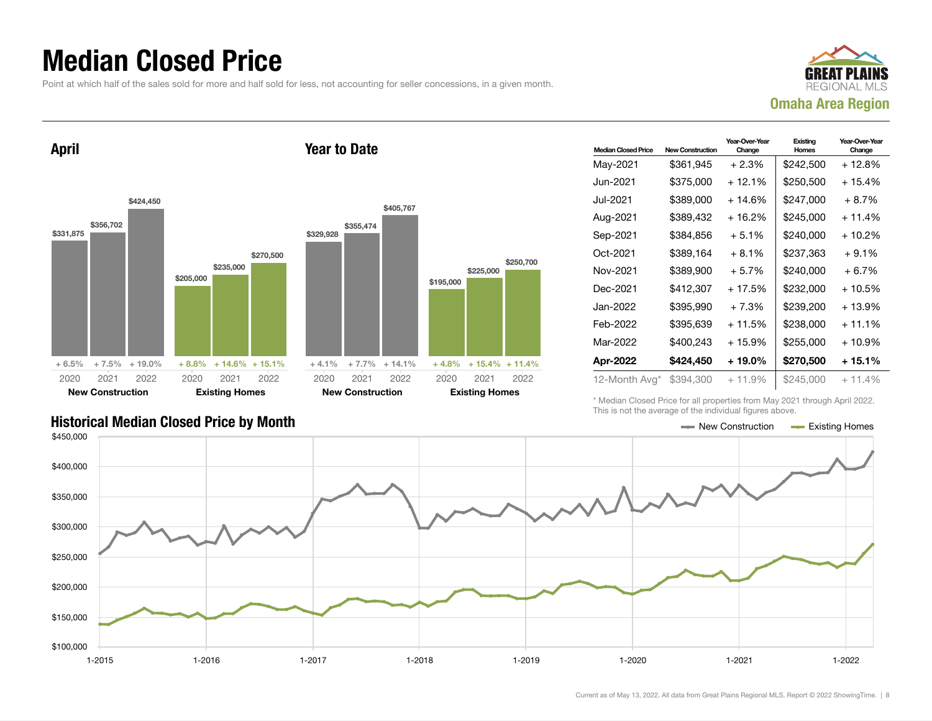### Median Closed Price

Point at which half of the sales sold for more and half sold for less, not accounting for seller concessions, in a given month.

Year to Date



April



| <b>Median Closed Price</b> | <b>New Construction</b> | Year-Over-Year<br>Change | Existina<br>Homes | Year-Over-Year<br>Change |
|----------------------------|-------------------------|--------------------------|-------------------|--------------------------|
| May-2021                   | \$361,945               | $+2.3%$                  | \$242,500         | + 12.8%                  |
| Jun-2021.                  | \$375,000               | + 12.1%                  | \$250,500         | $+15.4%$                 |
| Jul-2021.                  | \$389,000               | + 14.6%                  | \$247,000         | $+8.7%$                  |
| Aug-2021                   | \$389,432               | + 16.2%                  | \$245,000         | $+11.4%$                 |
| Sep-2021                   | \$384,856               | $+5.1%$                  | \$240,000         | $+10.2%$                 |
| Oct-2021                   | \$389,164               | $+8.1%$                  | \$237,363         | $+9.1%$                  |
| Nov-2021                   | \$389,900               | $+5.7%$                  | \$240,000         | $+6.7%$                  |
| Dec-2021                   | \$412,307               | $+17.5%$                 | \$232,000         | $+10.5%$                 |
| Jan-2022                   | \$395,990               | $+7.3%$                  | \$239,200         | $+13.9%$                 |
| Feb-2022                   | \$395,639               | $+11.5%$                 | \$238,000         | $+11.1%$                 |
| Mar-2022                   | \$400,243               | + 15.9%                  | \$255,000         | $+10.9%$                 |
| Apr-2022                   | \$424,450               | + 19.0%                  | \$270,500         | + 15.1%                  |
| 12-Month Avg*              | \$394,300               | $+11.9%$                 | \$245,000         | $+11.4\%$                |

\* Median Closed Price for all properties from May 2021 through April 2022. This is not the average of the individual figures above.



\$250,700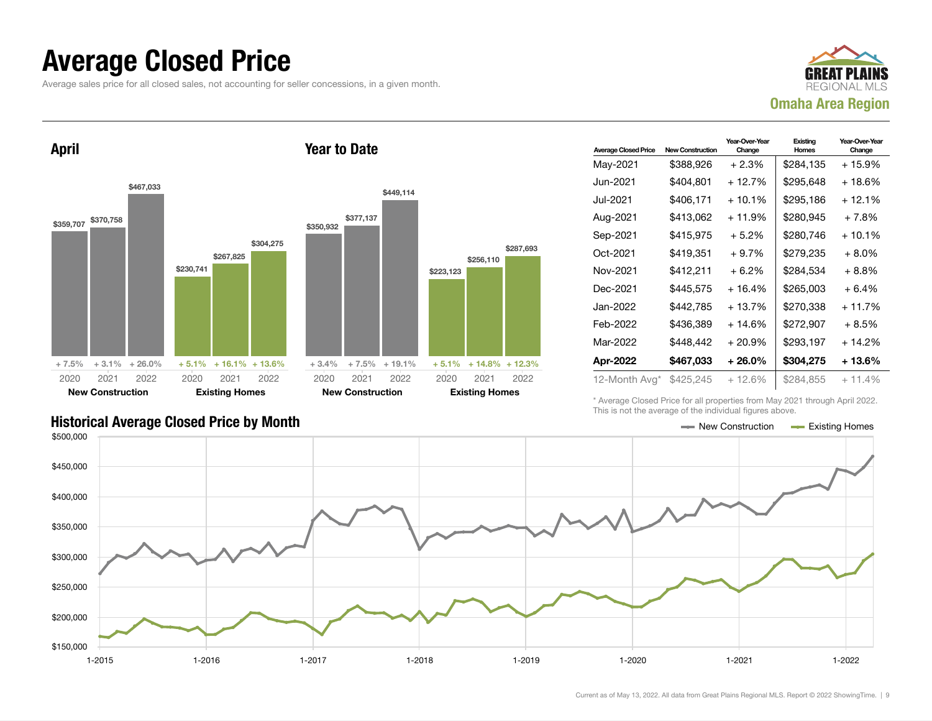#### Average Closed Price

Average sales price for all closed sales, not accounting for seller concessions, in a given month.



April \$359,707 \$370,758 \$467,033  $+ 7.5\% + 3.1\% + 26.0\%$ \$230,741 \$267,825 \$304,275  $+ 5.1\% + 16.1\% + 13.6\%$ 2020 New Construction 2021 2022 2020 Existing Homes 2021 2022 Year to Date \$350,932 \$377,137 \$449,114 + 3.4% + 7.5% + 19.1% \$223,123 + 5.1% + 14.8% + 12.3% 2020 New Construction 2021 2022 2020 Existing Homes

| <b>Average Closed Price</b> | <b>New Construction</b> | Year-Over-Year<br>Change | Existing<br>Homes | Year-Over-Year<br>Change |
|-----------------------------|-------------------------|--------------------------|-------------------|--------------------------|
| May-2021                    | \$388,926               | $+2.3%$                  | \$284,135         | $+15.9%$                 |
| Jun-2021.                   | \$404,801               | + 12.7%                  | \$295,648         | $+18.6%$                 |
| Jul-2021                    | \$406,171               | $+10.1%$                 | \$295,186         | + 12.1%                  |
| Aug-2021                    | \$413,062               | + 11.9%                  | \$280,945         | $+7.8%$                  |
| Sep-2021                    | \$415,975               | $+5.2\%$                 | \$280,746         | + 10.1%                  |
| Oct-2021                    | \$419,351               | $+9.7%$                  | \$279.235         | $+8.0\%$                 |
| Nov-2021                    | \$412,211               | $+6.2%$                  | \$284,534         | $+8.8\%$                 |
| Dec-2021                    | \$445,575               | $+16.4%$                 | \$265,003         | $+6.4%$                  |
| Jan-2022.                   | \$442,785               | $+13.7%$                 | \$270,338         | $+11.7%$                 |
| Feb-2022                    | \$436.389               | $+14.6%$                 | \$272.907         | $+8.5%$                  |
| Mar-2022                    | \$448,442               | $+20.9%$                 | \$293,197         | + 14.2%                  |
| Apr-2022                    | \$467,033               | $+26.0\%$                | \$304,275         | + 13.6%                  |
| 12-Month Avg*               | \$425,245               | $+12.6%$                 | \$284.855         | $+11.4%$                 |

Historical Average Closed Price by Month **New Construction Average Closed Price by Month** New Construction **New Construction** 

\* Average Closed Price for all properties from May 2021 through April 2022. This is not the average of the individual figures above.



\$256,110

2021 2022

\$287,693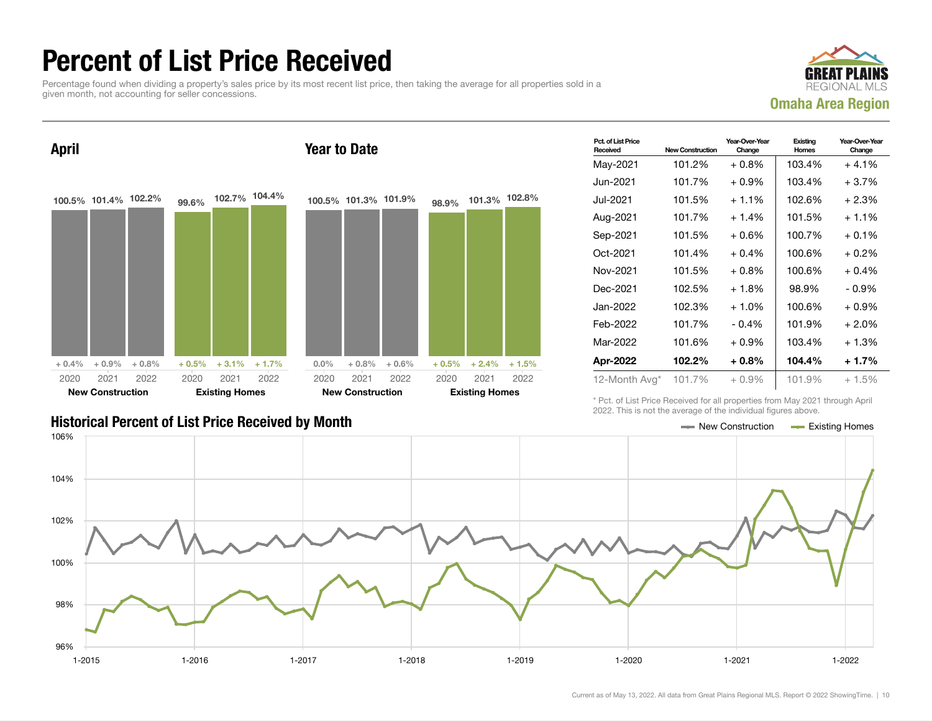## Percent of List Price Received

Percentage found when dividing a property's sales price by its most recent list price, then taking the average for all properties sold in a given month, not accounting for seller concessions.



April 100.5% 101.4% 102.2%  $+ 0.4\% + 0.9\% + 0.8\%$ 99.6% 102.7% 104.4%  $+ 0.5\% + 3.1\% + 1.7\%$ 2020 New Construction 2021 2022 2020 Existing Homes 2021 2022 Year to Date 100.5% 101.3% 101.9%  $0.0\%$  + 0.8% + 0.6% 98.9% 101.3% 102.8%  $+ 0.5\% + 2.4\% + 1.5\%$ 2020 New Construction 2021 2022 2020 Existing Homes 2021 2022

| Pct. of List Price<br>Received | <b>New Construction</b> | Year-Over-Year<br>Change | Existing<br><b>Homes</b> | Year-Over-Year<br>Change |
|--------------------------------|-------------------------|--------------------------|--------------------------|--------------------------|
| May-2021                       | 101.2%                  | $+0.8\%$                 | 103.4%                   | $+4.1%$                  |
| Jun-2021.                      | 101.7%                  | $+0.9\%$                 | 103.4%                   | $+3.7%$                  |
| Jul-2021.                      | 101.5%                  | $+1.1%$                  | 102.6%                   | $+2.3%$                  |
| Aug-2021                       | 101.7%                  | $+1.4%$                  | 101.5%                   | $+1.1%$                  |
| Sep-2021                       | 101.5%                  | $+0.6\%$                 | 100.7%                   | $+0.1%$                  |
| Oct-2021                       | 101.4%                  | $+0.4\%$                 | 100.6%                   | $+0.2\%$                 |
| Nov-2021                       | 101.5%                  | $+0.8%$                  | 100.6%                   | $+0.4%$                  |
| Dec-2021                       | 102.5%                  | $+1.8%$                  | 98.9%                    | - 0.9%                   |
| Jan-2022.                      | 102.3%                  | $+1.0\%$                 | 100.6%                   | $+0.9\%$                 |
| Feb-2022                       | 101.7%                  | $-0.4%$                  | 101.9%                   | $+2.0%$                  |
| Mar-2022                       | 101.6%                  | $+0.9\%$                 | 103.4%                   | $+1.3%$                  |
| Apr-2022                       | 102.2%                  | $+0.8\%$                 | 104.4%                   | $+1.7%$                  |
| 12-Month Avg*                  | 101.7%                  | $+0.9\%$                 | 101.9%                   | $+1.5%$                  |

#### Historical Percent of List Price Received by Month New Construction According Homes

\* Pct. of List Price Received for all properties from May 2021 through April 2022. This is not the average of the individual figures above.

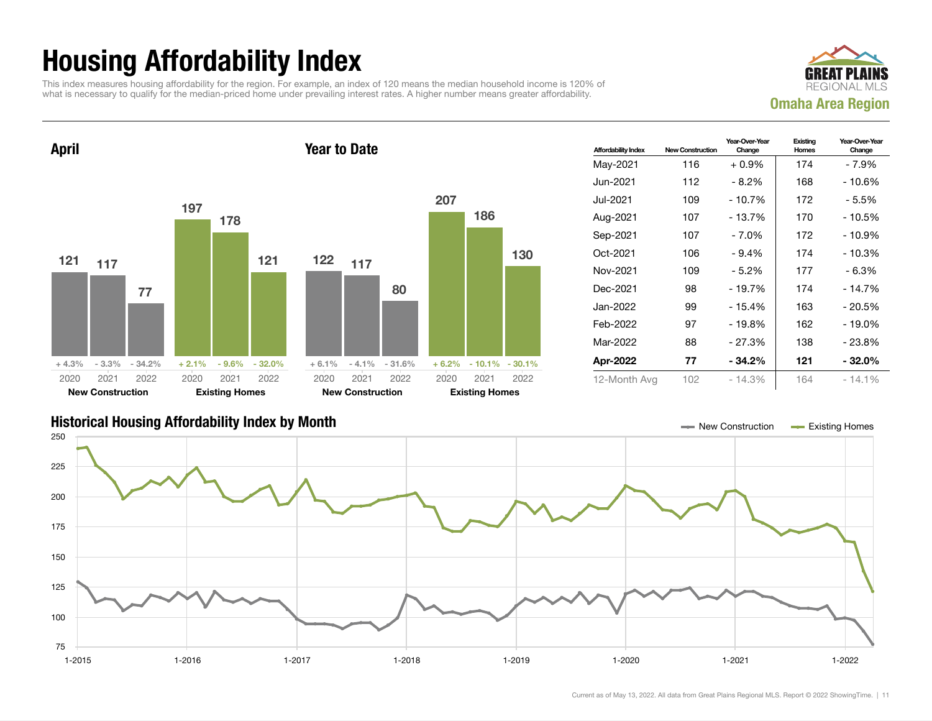## Housing Affordability Index

This index measures housing affordability for the region. For example, an index of 120 means the median household income is 120% of what is necessary to qualify for the median-priced home under prevailing interest rates. A higher number means greater affordability.





| <b>Affordability Index</b> | <b>New Construction</b> | Year-Over-Year<br>Change | Existing<br>Homes | Year-Over-Year<br>Change |
|----------------------------|-------------------------|--------------------------|-------------------|--------------------------|
| May-2021                   | 116                     | $+0.9\%$                 | 174               | - 7.9%                   |
| Jun-2021 <b>.</b>          | 112                     | $-8.2%$                  | 168               | $-10.6%$                 |
| Jul-2021.                  | 109                     | $-10.7%$                 | 172               | - 5.5%                   |
| Aug-2021                   | 107                     | - 13.7%                  | 170               | - 10.5%                  |
| Sep-2021                   | 107                     | $-7.0%$                  | 172               | $-10.9%$                 |
| Oct-2021                   | 106                     | $-9.4%$                  | 174               | $-10.3%$                 |
| Nov-2021                   | 109                     | $-5.2%$                  | 177               | $-6.3%$                  |
| Dec-2021                   | 98                      | $-19.7%$                 | 174               | $-14.7%$                 |
| Jan-2022.                  | 99                      | - 15.4%                  | 163               | - 20.5%                  |
| Feb-2022                   | 97                      | $-19.8%$                 | 162               | - 19.0%                  |
| Mar-2022                   | 88                      | $-27.3%$                 | 138               | - 23.8%                  |
| Apr-2022                   | 77                      | - 34.2%                  | 121               | $-32.0\%$                |
| 12-Month Avg               | 102                     | $-14.3%$                 | 164               | $-14.1%$                 |

#### Historical Housing Affordability Index by Month New Construction Existing Homes

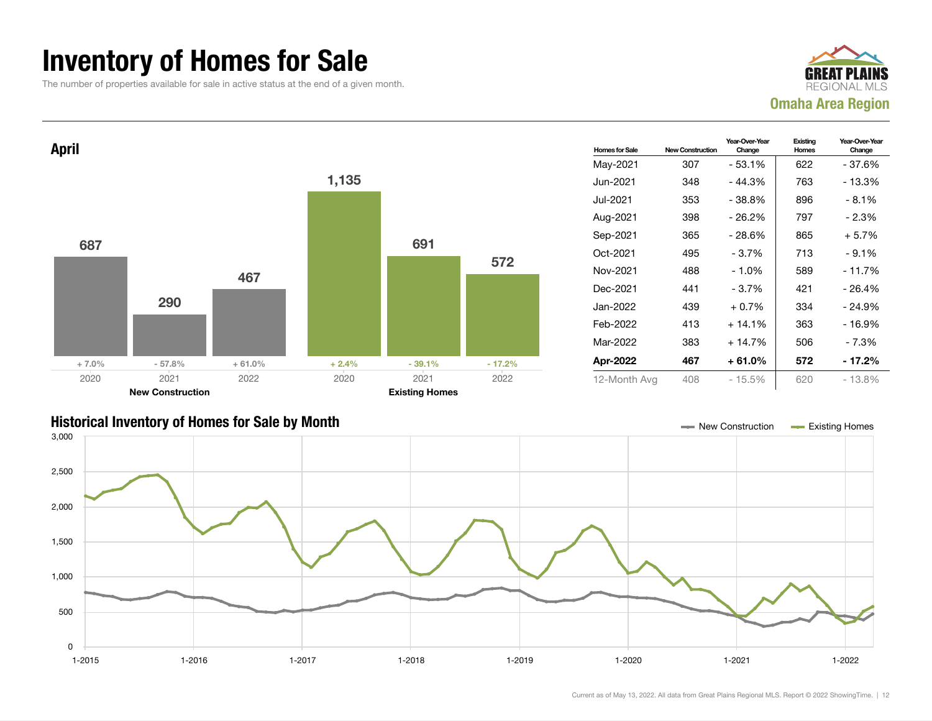### Inventory of Homes for Sale

The number of properties available for sale in active status at the end of a given month.





#### Historical Inventory of Homes for Sale by Month New Construction Existing Homes

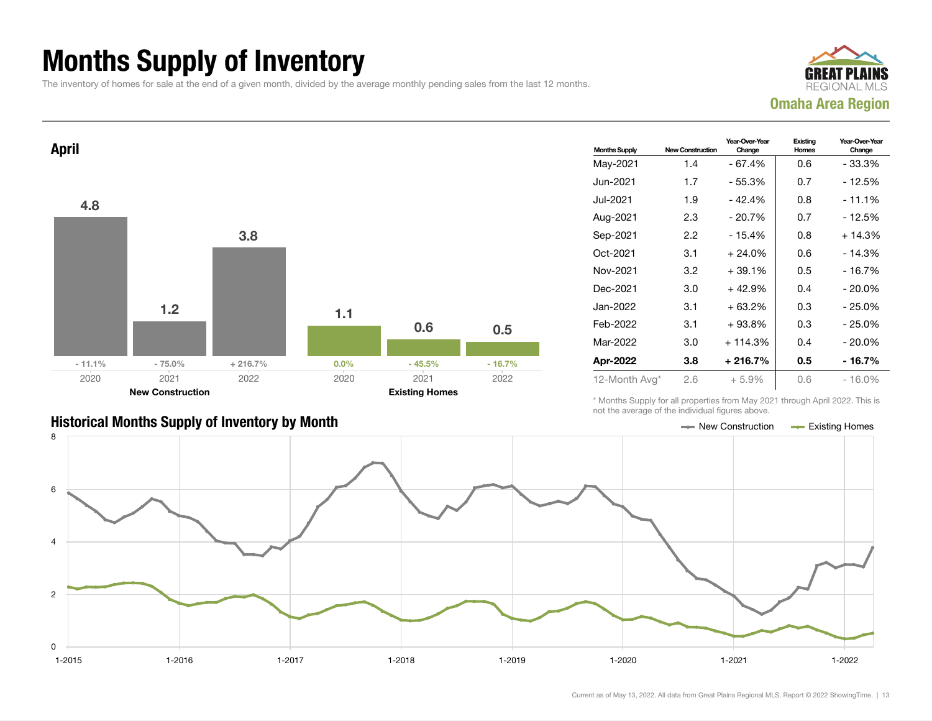## Months Supply of Inventory

The inventory of homes for sale at the end of a given month, divided by the average monthly pending sales from the last 12 months.





#### Historical Months Supply of Inventory by Month Month New York 1997 New Construction Access Existing Homes

| <b>Months Supply</b> | <b>New Construction</b> | Year-Over-Year<br>Change | Existing<br>Homes | Year-Over-Year<br>Change |
|----------------------|-------------------------|--------------------------|-------------------|--------------------------|
| May-2021             | 1.4                     | $-67.4%$                 | 0.6               | - 33.3%                  |
| Jun-2021             | 1.7                     | $-55.3%$                 | 0.7               | - 12.5%                  |
| Jul-2021             | 1.9                     | $-42.4%$                 | 0.8               | $-11.1%$                 |
| Aug-2021             | 2.3                     | $-20.7%$                 | 0.7               | $-12.5%$                 |
| Sep-2021             | $2.2\,$                 | - 15.4%                  | 0.8               | $+14.3%$                 |
| Oct-2021             | 3.1                     | $+24.0%$                 | 0.6               | - 14.3%                  |
| Nov-2021             | 3.2                     | $+39.1%$                 | 0.5               | $-16.7%$                 |
| Dec-2021             | 3.0                     | $+42.9%$                 | 0.4               | $-20.0%$                 |
| Jan-2022             | 3.1                     | $+63.2%$                 | 0.3               | - 25.0%                  |
| Feb-2022             | 3.1                     | $+93.8%$                 | 0.3               | $-25.0%$                 |
| Mar-2022             | 3.0                     | $+114.3%$                | 0.4               | $-20.0%$                 |
| Apr-2022             | 3.8                     | $+216.7%$                | 0.5               | $-16.7%$                 |
| 12-Month Avg*        | 2.6                     | $+5.9%$                  | 0.6               | $-16.0%$                 |

\* Months Supply for all properties from May 2021 through April 2022. This is not the average of the individual figures above.